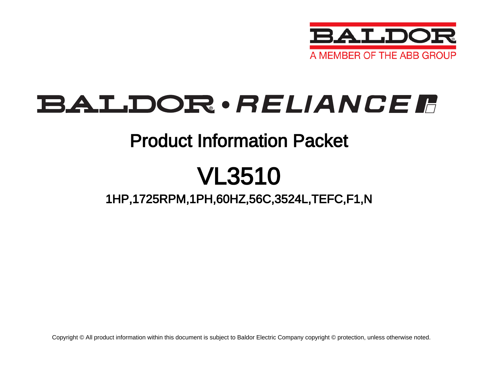

## BALDOR · RELIANCE F

## Product Information Packet

# VL3510

### 1HP,1725RPM,1PH,60HZ,56C,3524L,TEFC,F1,N

Copyright © All product information within this document is subject to Baldor Electric Company copyright © protection, unless otherwise noted.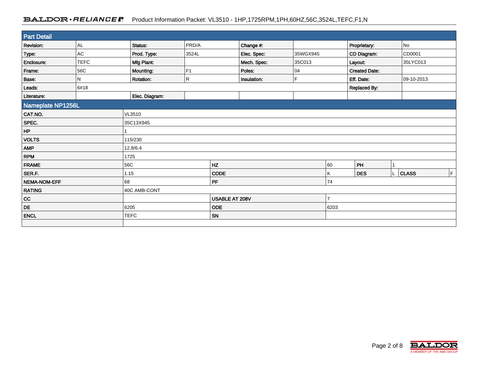### BALDOR · RELIANCE F Product Information Packet: VL3510 - 1HP,1725RPM,1PH,60HZ,56C,3524L,TEFC,F1,N

| <b>Part Detail</b>  |                |                  |                |      |             |          |                     |                      |              |    |
|---------------------|----------------|------------------|----------------|------|-------------|----------|---------------------|----------------------|--------------|----|
| <b>Revision:</b>    | AL             | PRD/A<br>Status: |                |      | Change #:   |          |                     | Proprietary:         | No           |    |
| Type:               | AC             | Prod. Type:      | 3524L          |      | Elec. Spec: | 35WGX945 |                     | CD Diagram:          | CD0001       |    |
| Enclosure:          | <b>TEFC</b>    | Mfg Plant:       |                |      | Mech. Spec: | 35C013   |                     | Layout:              | 35LYC013     |    |
| Frame:              | 56C            | Mounting:        | F1             |      | Poles:      | 04       |                     | <b>Created Date:</b> |              |    |
| Base:               | N              | Rotation:        | R.             |      | Insulation: | E        |                     | Eff. Date:           | 09-10-2013   |    |
| Leads:              | 6#18           |                  |                |      |             |          | <b>Replaced By:</b> |                      |              |    |
| Literature:         | Elec. Diagram: |                  |                |      |             |          |                     |                      |              |    |
| Nameplate NP1256L   |                |                  |                |      |             |          |                     |                      |              |    |
| CAT.NO.             |                | VL3510           |                |      |             |          |                     |                      |              |    |
| SPEC.               |                | 35C13X945        |                |      |             |          |                     |                      |              |    |
| HP                  |                |                  |                |      |             |          |                     |                      |              |    |
| <b>VOLTS</b>        |                | 115/230          |                |      |             |          |                     |                      |              |    |
| <b>AMP</b>          |                | 12.8/6.4         |                |      |             |          |                     |                      |              |    |
| <b>RPM</b>          |                | 1725             |                |      |             |          |                     |                      |              |    |
| <b>FRAME</b>        |                | 56C<br><b>HZ</b> |                |      |             |          | 60                  | PH                   |              |    |
| SER.F.              |                | 1.15             |                | CODE |             |          | Κ                   | <b>DES</b>           | <b>CLASS</b> | F. |
| <b>NEMA-NOM-EFF</b> |                | PF<br>68         |                |      |             | 74       |                     |                      |              |    |
| <b>RATING</b>       |                | 40C AMB-CONT     |                |      |             |          |                     |                      |              |    |
| $_{\rm CC}$         |                |                  | USABLE AT 208V |      |             | 7        |                     |                      |              |    |
| DE                  |                | 6205             | <b>ODE</b>     |      |             |          | 6203                |                      |              |    |
| <b>ENCL</b>         |                | <b>TEFC</b>      | SN             |      |             |          |                     |                      |              |    |
|                     |                |                  |                |      |             |          |                     |                      |              |    |

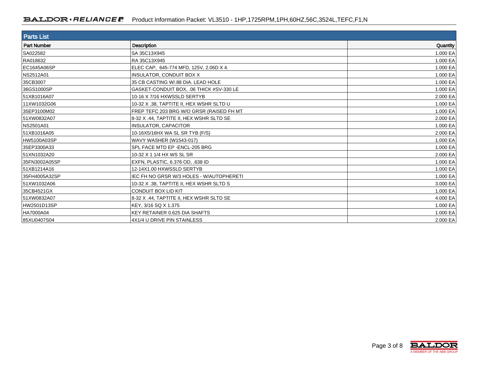| <b>Parts List</b>  |                                          |          |
|--------------------|------------------------------------------|----------|
| <b>Part Number</b> | <b>Description</b>                       | Quantity |
| SA022582           | SA 35C13X945                             | 1.000 EA |
| RA018632           | RA 35C13X945                             | 1.000 EA |
| EC1645A06SP        | ELEC CAP, 645-774 MFD, 125V, 2.06D X 4.  | 1.000 EA |
| NS2512A01          | <b>INSULATOR, CONDUIT BOX X</b>          | 1.000 EA |
| 35CB3007           | 35 CB CASTING W/.88 DIA. LEAD HOLE       | 1.000 EA |
| 36GS1000SP         | GASKET-CONDUIT BOX, .06 THICK #SV-330 LE | 1.000 EA |
| 51XB1016A07        | 10-16 X 7/16 HXWSSLD SERTYB              | 2.000 EA |
| 11XW1032G06        | 10-32 X .38, TAPTITE II, HEX WSHR SLTD U | 1.000 EA |
| 35EP3100M02        | FREP TEFC 203 BRG W/O GRSR (RAISED FH MT | 1.000 EA |
| 51XW0832A07        | 8-32 X .44, TAPTITE II, HEX WSHR SLTD SE | 2.000 EA |
| NS2501A01          | <b>INSULATOR, CAPACITOR</b>              | 1.000 EA |
| 51XB1016A05        | 10-16X5/16HX WA SL SR TYB (F/S)          | 2.000 EA |
| HW5100A03SP        | <b>WAVY WASHER (W1543-017)</b>           | 1.000 EA |
| 35EP3300A33        | SPL FACE MTD EP - ENCL-205 BRG           | 1.000 EA |
| 51XN1032A20        | 10-32 X 1 1/4 HX WS SL SR                | 2.000 EA |
| 35FN3002A05SP      | EXFN, PLASTIC, 6.376 OD, .638 ID         | 1.000 EA |
| 51XB1214A16        | 12-14X1.00 HXWSSLD SERTYB                | 1.000 EA |
| 35FH4005A32SP      | IEC FH NO GRSR W/3 HOLES - W/AUTOPHERETI | 1.000 EA |
| 51XW1032A06        | 10-32 X .38. TAPTITE II. HEX WSHR SLTD S | 3.000 EA |
| 35CB4521GX         | CONDUIT BOX LID KIT                      | 1.000 EA |
| 51XW0832A07        | 8-32 X .44, TAPTITE II, HEX WSHR SLTD SE | 4.000 EA |
| HW2501D13SP        | KEY, 3/16 SQ X 1.375                     | 1.000 EA |
| HA7000A04          | KEY RETAINER 0.625 DIA SHAFTS            | 1.000 EA |
| 85XU0407S04        | 4X1/4 U DRIVE PIN STAINLESS              | 2.000 EA |

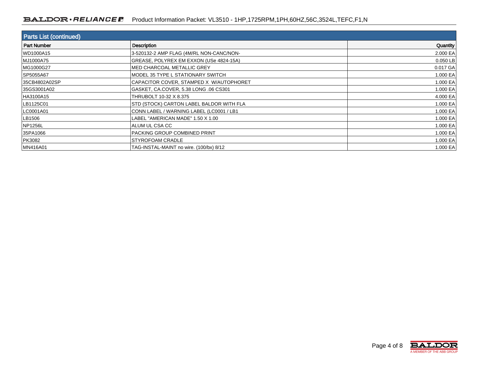#### BALDOR · RELIANCE **R** Product Information Packet: VL3510 - 1HP,1725RPM,1PH,60HZ,56C,3524L,TEFC,F1,N

| <b>Parts List (continued)</b> |                                          |          |  |  |  |
|-------------------------------|------------------------------------------|----------|--|--|--|
| Part Number                   | <b>Description</b>                       | Quantity |  |  |  |
| WD1000A15                     | 3-520132-2 AMP FLAG (4M/RL NON-CANC/NON- | 2.000 EA |  |  |  |
| MJ1000A75                     | GREASE, POLYREX EM EXXON (USe 4824-15A)  | 0.050 LB |  |  |  |
| MG1000G27                     | MED CHARCOAL METALLIC GREY               | 0.017 GA |  |  |  |
| SP5055A67                     | MODEL 35 TYPE L STATIONARY SWITCH        | 1.000 EA |  |  |  |
| 35CB4802A02SP                 | CAPACITOR COVER, STAMPED X W/AUTOPHORET  | 1.000 EA |  |  |  |
| 35GS3001A02                   | GASKET, CA.COVER, 5.38 LONG .06 CS301    | 1.000 EA |  |  |  |
| HA3100A15                     | THRUBOLT 10-32 X 8.375                   | 4.000 EA |  |  |  |
| LB1125C01                     | STD (STOCK) CARTON LABEL BALDOR WITH FLA | 1.000 EA |  |  |  |
| LC0001A01                     | CONN LABEL / WARNING LABEL (LC0001 / LB1 | 1.000 EA |  |  |  |
| LB1506                        | LABEL "AMERICAN MADE" 1.50 X 1.00        | 1.000 EA |  |  |  |
| NP1256L                       | I ALUM UL CSA CC                         | 1.000 EA |  |  |  |
| 35PA1066                      | PACKING GROUP COMBINED PRINT             | 1.000 EA |  |  |  |
| PK3082                        | <b>STYROFOAM CRADLE</b>                  | 1.000 EA |  |  |  |
| MN416A01                      | TAG-INSTAL-MAINT no wire. (100/bx) 8/12  | 1.000 EA |  |  |  |

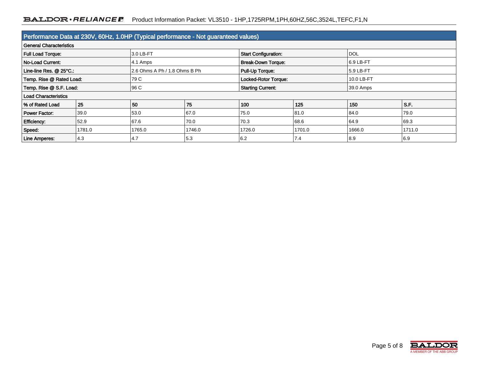| Performance Data at 230V, 60Hz, 1.0HP (Typical performance - Not guaranteed values) |        |                               |        |                             |        |            |        |
|-------------------------------------------------------------------------------------|--------|-------------------------------|--------|-----------------------------|--------|------------|--------|
| <b>General Characteristics</b>                                                      |        |                               |        |                             |        |            |        |
| <b>Full Load Torque:</b>                                                            |        | 3.0 LB-FT                     |        | <b>Start Configuration:</b> |        | <b>DOL</b> |        |
| <b>No-Load Current:</b>                                                             |        | 4.1 Amps                      |        | <b>Break-Down Torque:</b>   |        | 16.9 LB-FT |        |
| Line-line Res. @ 25°C.:                                                             |        | 2.6 Ohms A Ph / 1.8 Ohms B Ph |        | Pull-Up Torque:             |        | 5.9 LB-FT  |        |
| Temp. Rise @ Rated Load:                                                            |        | 79 C                          |        | Locked-Rotor Torque:        |        | 10.0 LB-FT |        |
| Temp. Rise @ S.F. Load:                                                             |        | 96 C                          |        | <b>Starting Current:</b>    |        | 39.0 Amps  |        |
| <b>Load Characteristics</b>                                                         |        |                               |        |                             |        |            |        |
| % of Rated Load                                                                     | 25     | 50                            | 75     | 100                         | 125    | 150        | S.F.   |
| <b>Power Factor:</b>                                                                | 39.0   | 53.0                          | 67.0   | 75.0                        | 81.0   | 84.0       | 79.0   |
| <b>Efficiency:</b>                                                                  | 52.9   | 67.6                          | 70.0   | 70.3                        | 68.6   | 64.9       | 69.3   |
| Speed:                                                                              | 1781.0 | 1765.0                        | 1746.0 | 1726.0                      | 1701.0 | 1666.0     | 1711.0 |
| Line Amperes:                                                                       | 4.3    | 4.7                           | 5.3    | 6.2                         | 7.4    | 8.9        | 6.9    |

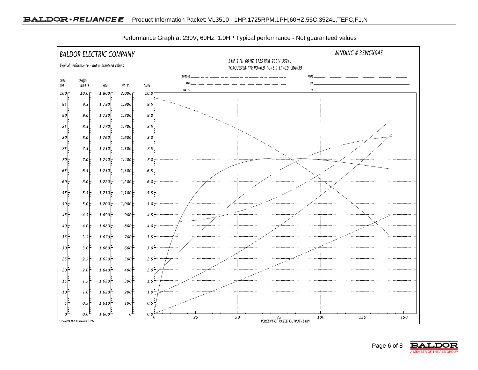

Performance Graph at 230V, 60Hz, 1.0HP Typical performance - Not guaranteed values

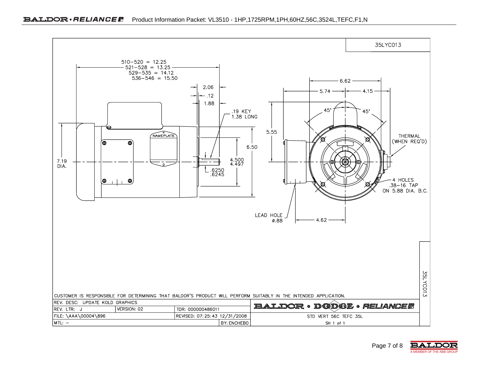